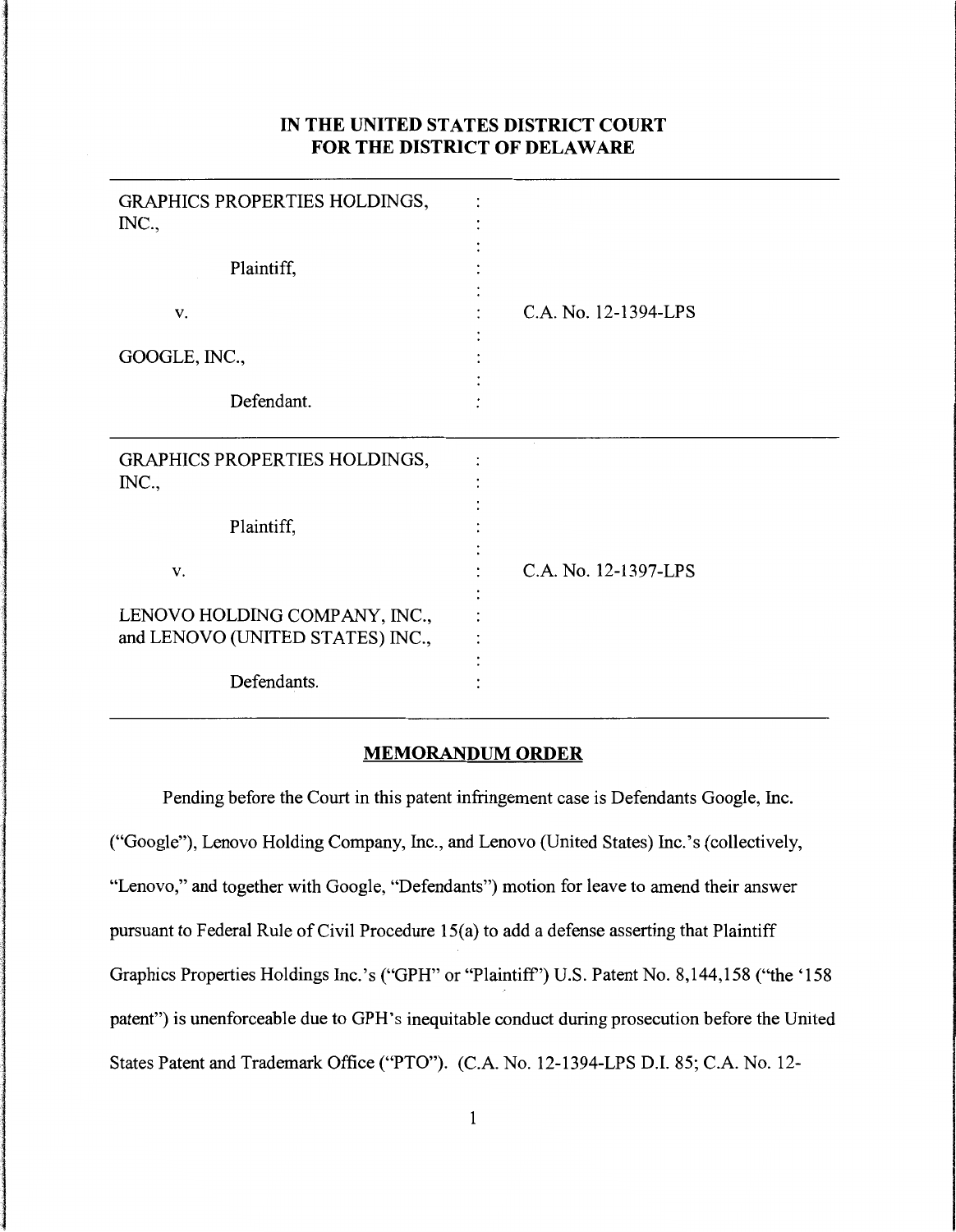## **IN THE UNITED STATES DISTRICT COURT FOR THE DISTRICT OF DELAWARE**

| GRAPHICS PROPERTIES HOLDINGS,<br>INC., |                      |
|----------------------------------------|----------------------|
| Plaintiff,                             |                      |
| V.                                     | C.A. No. 12-1394-LPS |
| GOOGLE, INC.,                          |                      |
| Defendant.                             |                      |
|                                        |                      |
| GRAPHICS PROPERTIES HOLDINGS,<br>INC., |                      |
| Plaintiff,                             |                      |
| V.                                     | C.A. No. 12-1397-LPS |
| LENOVO HOLDING COMPANY, INC.,          |                      |
| and LENOVO (UNITED STATES) INC.,       |                      |

## **MEMORANDUM ORDER**

Pending before the Court in this patent infringement case is Defendants Google, Inc. ("Google"), Lenovo Holding Company, Inc., and Lenovo (United States) Inc.'s (collectively, "Lenovo," and together with Google, "Defendants") motion for leave to amend their answer pursuant to Federal Rule of Civil Procedure 15(a) to add a defense asserting that Plaintiff Graphics Properties Holdings Inc.'s ("GPH" or "Plaintiff') U.S. Patent No. 8,144,158 (''the '158 patent") is unenforceable due to GPH's inequitable conduct during prosecution before the United States Patent and Trademark Office ("PTO"). (C.A. No. 12-1394-LPS D.I. 85; C.A. No. 12-

e state of the state of the state of the state of the state of the state of the state of the state of the state of the state of the state of the state of the state of the state of the state of the state of the state of the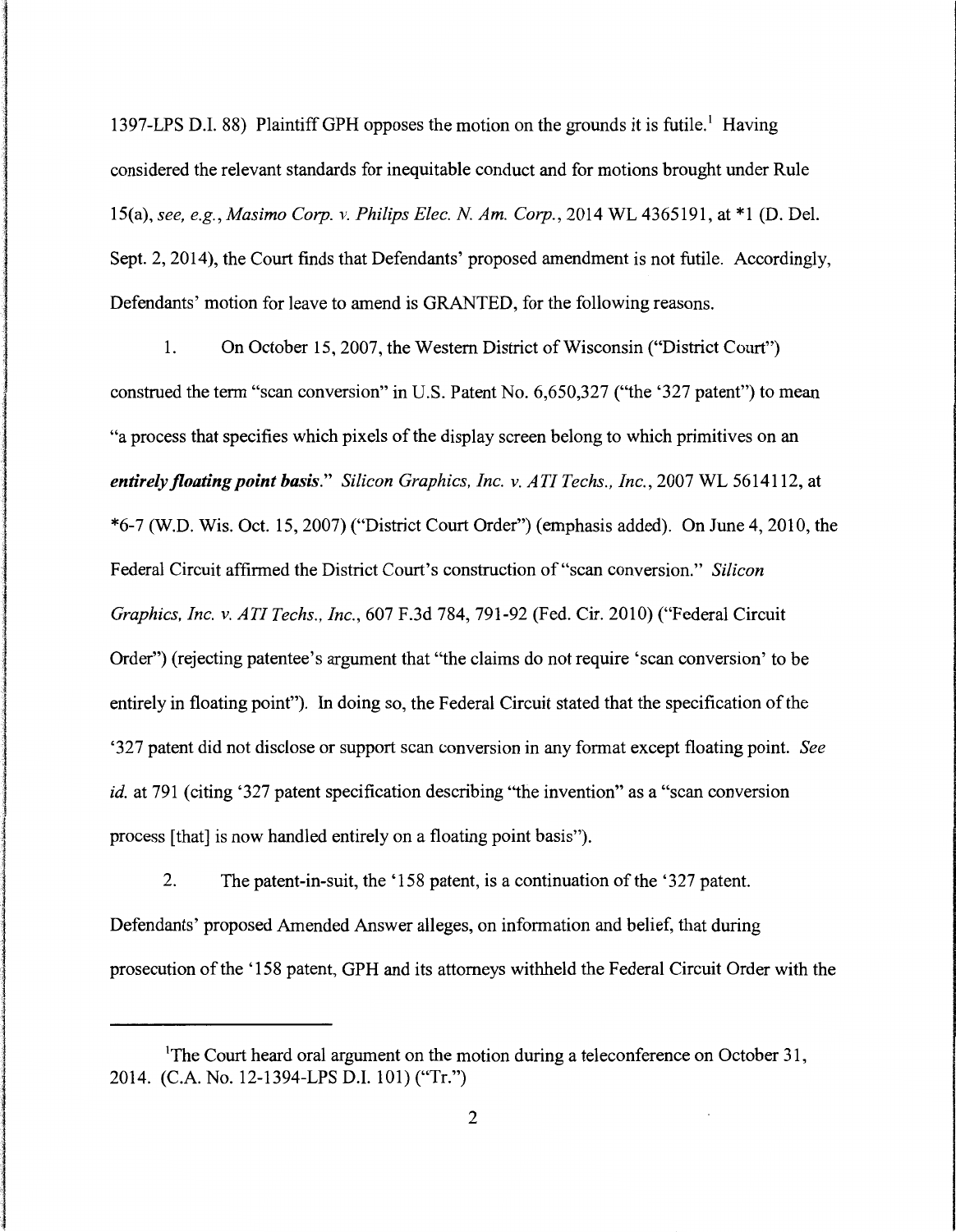1397-LPS D.I. 88) Plaintiff GPH opposes the motion on the grounds it is futile.' Having considered the relevant standards for inequitable conduct and for motions brought under Rule 15(a), *see, e.g., Masimo Corp. v. Philips Elec. N Am. Corp.,* 2014 WL 4365191, at \*1 (D. Del. Sept. 2, 2014), the Court finds that Defendants' proposed amendment is not futile. Accordingly, Defendants' motion for leave to amend is GRANTED, for the following reasons.

اردا میزانیاند. اینکه استفاده با استفاده استفاده استفاده استفاده استفاده استفاده استفاده استفاده استفاده استفاده<br>استفاده<br>استفاده استفاده استفاده استفاده استفاده استفاده استفاده استفاده استفاده استفاده استفاده استفاده استف

I

1992)<br>1992 – Paris Baltimore, filosofia<br>1993 – Paris Baltimore, filosofia

راندارات دارداشته او داران<br>1

مەنئەتھەتلىقىنىڭ ئەمەدە !

l and a strong control of the strong strong and a strong strong strong and a strong strong strong strong strong strong strong strong strong strong strong strong strong strong strong strong strong strong strong strong stron

।<br>सन्दर्भ सामग्रीहरू<br>1980 - सामग्रीहरू **International** an di sebagai di sebagai di sebagai di sebagai di sebagai di sebagai di sebagai di sebagai di sebagai di seba<br>Persentasi di sebagai di sebagai di sebagai di sebagai di sebagai di sebagai di sebagai di sebagai di sebagai **University** in resolutions and the con-

I

international

1<br>11 March 11 March 11 March 11 March 11 March 11 March 11 March 11 March 11 March 11 March 11 March 11 March 1<br>11 March 11 March 11 March 11 March 11 March 11 March 11 March 11 March 11 March 11 March 11 March 11 March 1

l

1. On October 15, 2007, the Western District of Wisconsin ("District Court") construed the term "scan conversion" in U.S. Patent No. 6,650,327 ("the '327 patent") to mean "a process that specifies which pixels of the display screen belong to which primitives on an *entirely floating point basis." Silicon Graphics, Inc. v. ATI Techs., Inc., 2007 WL 5614112, at* \*6-7 (W.D. Wis. Oct. 15, 2007) ("District Court Order") (emphasis added). On June 4, 2010, the Federal Circuit affirmed the District Court's construction of "scan conversion." *Silicon Graphics, Inc. v. AT! Techs., Inc.,* 607 F.3d 784, 791-92 (Fed. Cir. 2010) ("Federal Circuit Order") (rejecting patentee's argument that "the claims do not require 'scan conversion' to be entirely in floating point"). In doing so, the Federal Circuit stated that the specification of the '327 patent did not disclose or support scan conversion in any format except floating point. *See id.* at 791 (citing '327 patent specification describing "the invention" as a "scan conversion process [that] is now handled entirely on a floating point basis").

2. The patent-in-suit, the '158 patent, is a continuation of the '327 patent. Defendants' proposed Amended Answer alleges, on information and belief, that during prosecution of the '158 patent, GPH and its attorneys withheld the Federal Circuit Order with the

<sup>&</sup>lt;sup>1</sup>The Court heard oral argument on the motion during a teleconference on October 31, 2014. (C.A. No. 12-1394-LPS D.I. 101) ("Tr.")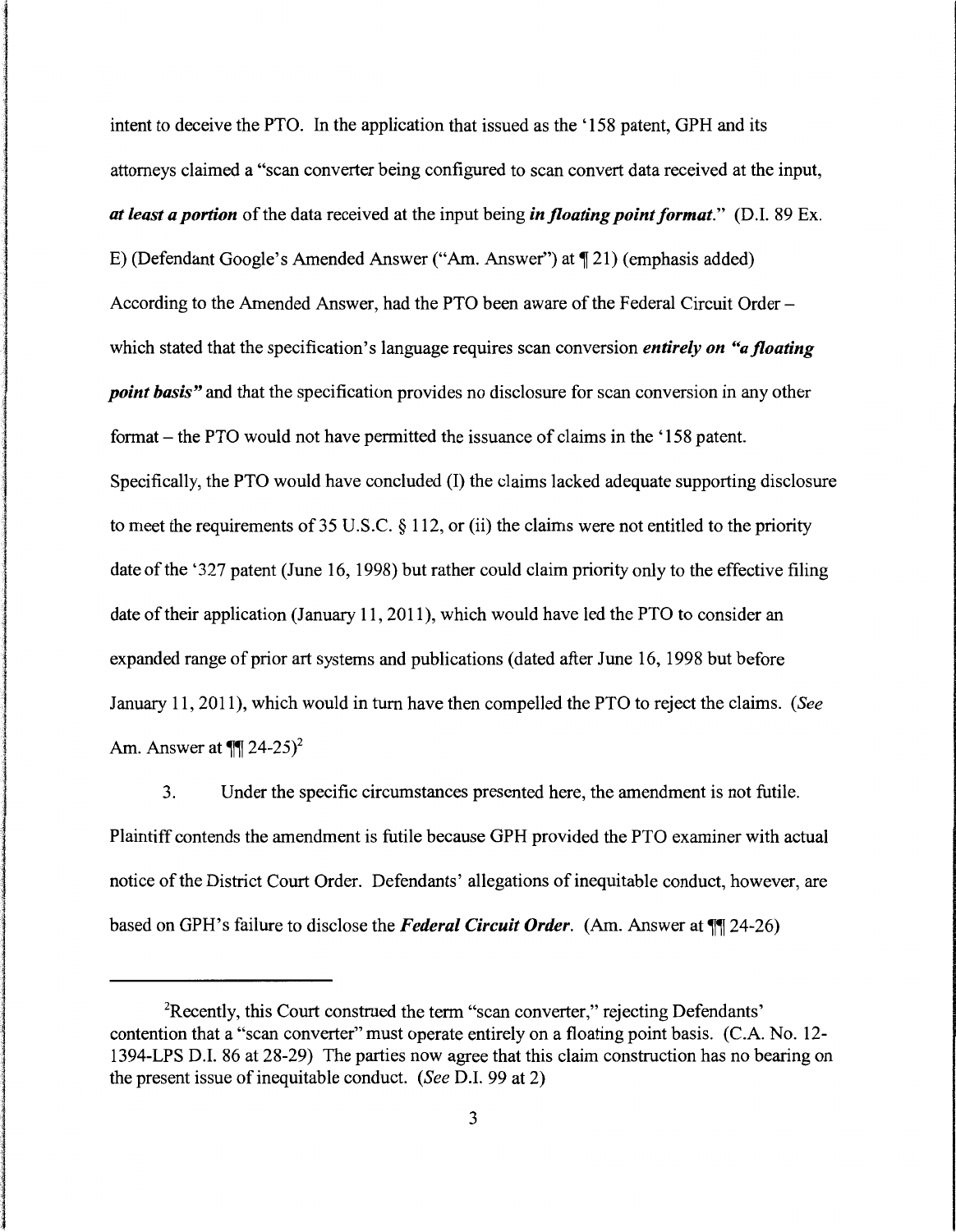intent to deceive the PTO. In the application that issued as the '158 patent, GPH and its attorneys claimed a "scan converter being configured to scan convert data received at the input, *at least a portion* of the data received at the input being *in floating point format.*" (D.I. 89 Ex. E) (Defendant Google's Amended Answer ("Am. Answer") at  $\P$  21) (emphasis added) According to the Amended Answer, had the PTO been aware of the Federal Circuit Orderwhich stated that the specification's language requires scan conversion *entirely on "a floating point basis"* and that the specification provides no disclosure for scan conversion in any other format - the PTO would not have permitted the issuance of claims in the '158 patent. Specifically, the PTO would have concluded (I) the claims lacked adequate supporting disclosure to meet the requirements of 35 U.S.C. § 112, or (ii) the claims were not entitled to the priority date of the '327 patent (June 16, 1998) but rather could claim priority only to the effective filing date of their application (January 11, 2011), which would have led the PTO to consider an expanded range of prior art systems and publications (dated after June 16, 1998 but before January 11, 2011), which would in tum have then compelled the PTO to reject the claims. *(See*  Am. Answer at  $\P$ [24-25)<sup>2</sup>

l

ja<br>Senatori (Salan

3. Under the specific circumstances presented here, the amendment is not futile. Plaintiff contends the amendment is futile because GPH provided the PTO examiner with actual notice of the District Court Order. Defendants' allegations of inequitable conduct, however, are based on GPH's failure to disclose the *Federal Circuit Order.* (Am. Answer at  $\P$  24-26)

<sup>&</sup>lt;sup>2</sup>Recently, this Court construed the term "scan converter," rejecting Defendants' contention that a "scan converter" must operate entirely on a floating point basis. (C.A. No. 12- 1394-LPS D.I. 86 at 28-29) The parties now agree that this claim construction has no bearing on the present issue of inequitable conduct. *(See* D.I. 99 at 2)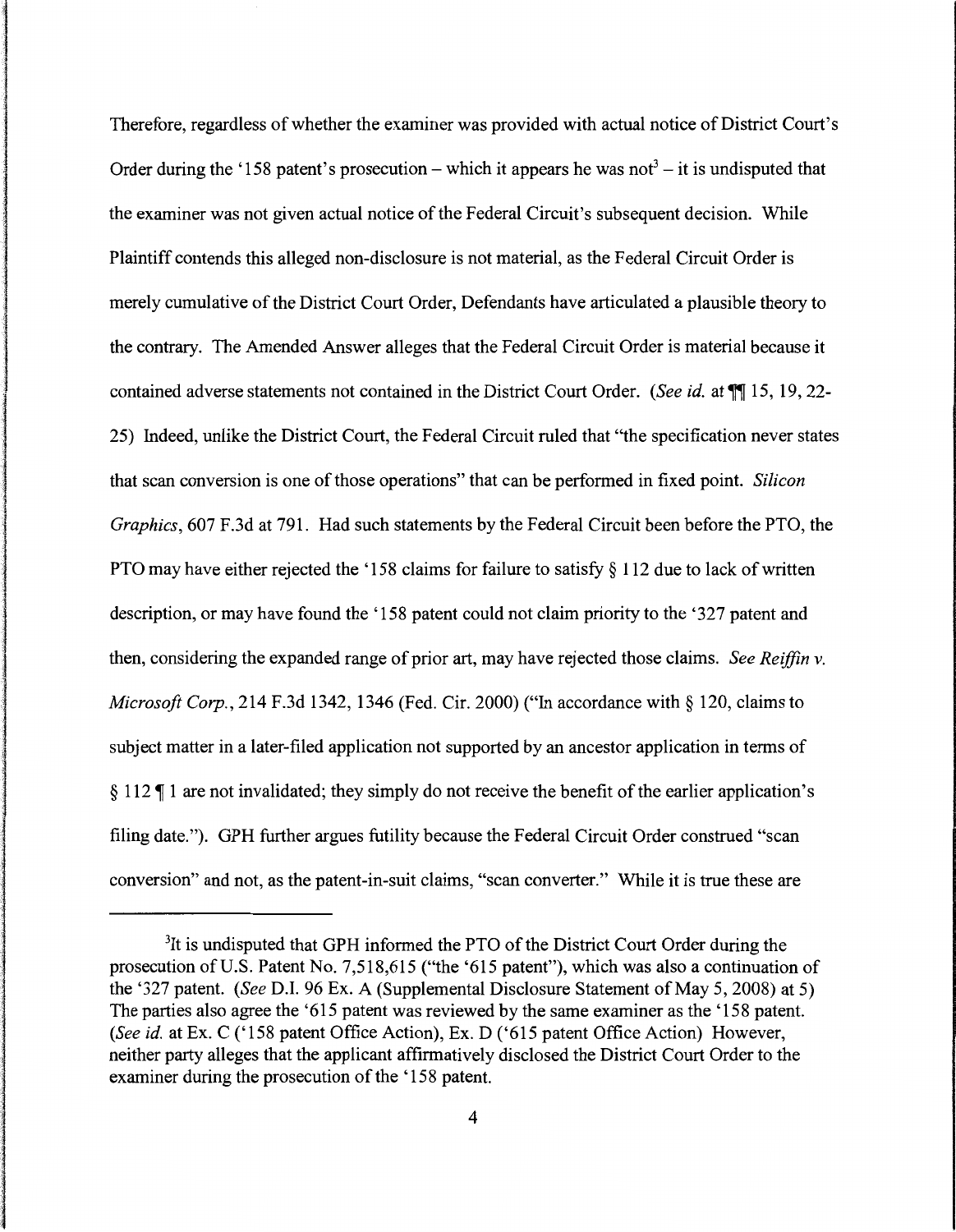Therefore, regardless of whether the examiner was provided with actual notice of District Court's Order during the '158 patent's prosecution – which it appears he was not<sup>3</sup> – it is undisputed that the examiner was not given actual notice of the Federal Circuit's subsequent decision. While Plaintiff contends this alleged non-disclosure is not material, as the Federal Circuit Order is merely cumulative of the District Court Order, Defendants have articulated a plausible theory to the contrary. The Amended Answer alleges that the Federal Circuit Order is material because it contained adverse statements not contained in the District Court Order. *(See id.* at  $\P$ ] 15, 19, 22-25) Indeed, unlike the District Court, the Federal Circuit ruled that "the specification never states that scan conversion is one of those operations" that can be performed in fixed point. *Silicon Graphics,* 607 F.3d at 791. Had such statements by the Federal Circuit been before the PTO, the PTO may have either rejected the '158 claims for failure to satisfy § 112 due to lack of written description, or may have found the '158 patent could not claim priority to the '327 patent and then, considering the expanded range of prior art, may have rejected those claims. *See Reiffin v. Microsoft Corp.,* 214 F.3d 1342, 1346 (Fed. Cir. 2000) ("In accordance with§ 120, claims to subject matter in a later-filed application not supported by an ancestor application in terms of § 112  $\P$  1 are not invalidated; they simply do not receive the benefit of the earlier application's filing date."). GPH further argues futility because the Federal Circuit Order construed "scan conversion" and not, as the patent-in-suit claims, "scan converter." While it is true these are

a in dia manana amin'ny fivondronan-kaominin'i Amerika ao amin'ny faritr'i Nord-Africa.<br>Ny INSEE dia mampiasa ny kaodim-paositra 2008–2014.<br>Ny INSEE dia mampiasa ny kaodim-paositra 2014–2014. )<br>)<br>)<br>)<br>)

l a la statue de la statue de la statue de la statue de la statue de la statue de la statue de la statue de la<br>Il statue de la statue de la statue de la statue de la statue de la statue de la statue de la statue de la sta

la serie de la production de la production de la production de la production de la production de la production<br>La production de la production de la production de la production de la production de la production de la produc

<sup>&</sup>lt;sup>3</sup>It is undisputed that GPH informed the PTO of the District Court Order during the prosecution of U.S. Patent No. 7,518,615 ("the '615 patent"), which was also a continuation of the '327 patent. *(See* D.I. 96 Ex. A (Supplemental Disclosure Statement of May 5, 2008) at 5) The parties also agree the '615 patent was reviewed by the same examiner as the '158 patent. *(See id.* at Ex. C ('158 patent Office Action), Ex. D ('615 patent Office Action) However, neither party alleges that the applicant affirmatively disclosed the District Court Order to the examiner during the prosecution of the '158 patent.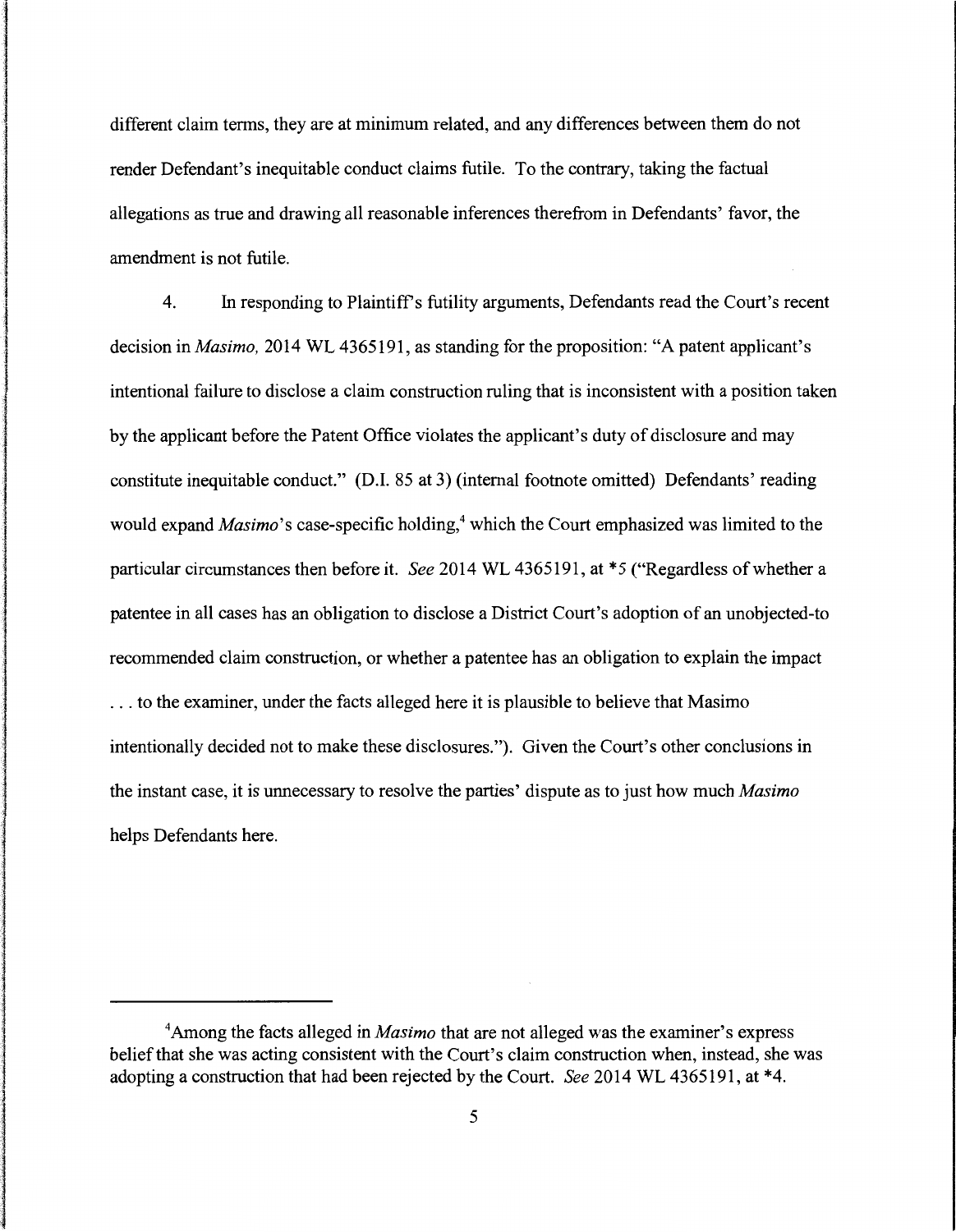different claim terms, they are at minimum related, and any differences between them do not render Defendant's inequitable conduct claims futile. To the contrary, taking the factual allegations as true and drawing all reasonable inferences therefrom in Defendants' favor, the amendment is not futile.

4. In responding to Plaintiffs futility arguments, Defendants read the Court's recent decision in *Masimo,* 2014 WL 4365191, as standing for the proposition: "A patent applicant's intentional failure to disclose a claim construction ruling that is inconsistent with a position taken by the applicant before the Patent Office violates the applicant's duty of disclosure and may constitute inequitable conduct." (D.1. 85 at 3) (internal footnote omitted) Defendants' reading would expand *Masimo*'s case-specific holding,<sup>4</sup> which the Court emphasized was limited to the particular circumstances then before it. *See* 2014 WL 4365191, at \*5 ("Regardless of whether a patentee in all cases has an obligation to disclose a District Court's adoption of an unobjected-to recommended claim construction, or whether a patentee has an obligation to explain the impact ... to the examiner, under the facts alleged here it is plausible to believe that Masimo intentionally decided not to make these disclosures."). Given the Court's other conclusions in the instant case, it is unnecessary to resolve the parties' dispute as to just how much *Masimo*  helps Defendants here.

<sup>&</sup>lt;sup>4</sup> Among the facts alleged in *Masimo* that are not alleged was the examiner's express belief that she was acting consistent with the Court's claim construction when, instead, she was adopting a construction that had been rejected by the Court. *See* 2014 WL 4365191, at \*4.